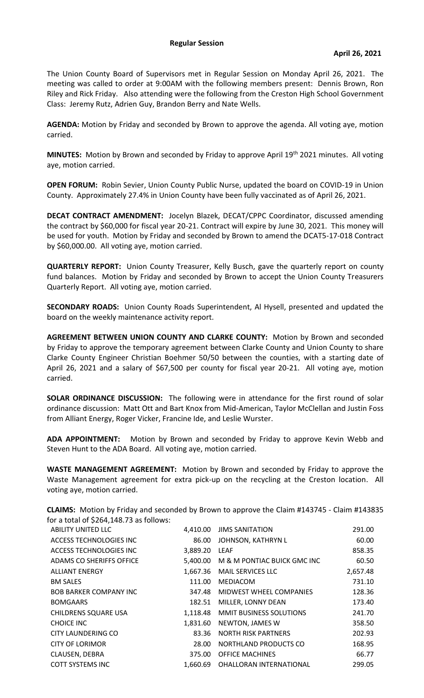## **Regular Session**

The Union County Board of Supervisors met in Regular Session on Monday April 26, 2021. The meeting was called to order at 9:00AM with the following members present: Dennis Brown, Ron Riley and Rick Friday. Also attending were the following from the Creston High School Government Class: Jeremy Rutz, Adrien Guy, Brandon Berry and Nate Wells.

**AGENDA:** Motion by Friday and seconded by Brown to approve the agenda. All voting aye, motion carried.

**MINUTES:** Motion by Brown and seconded by Friday to approve April 19<sup>th</sup> 2021 minutes. All voting aye, motion carried.

**OPEN FORUM:** Robin Sevier, Union County Public Nurse, updated the board on COVID-19 in Union County. Approximately 27.4% in Union County have been fully vaccinated as of April 26, 2021.

**DECAT CONTRACT AMENDMENT:** Jocelyn Blazek, DECAT/CPPC Coordinator, discussed amending the contract by \$60,000 for fiscal year 20-21. Contract will expire by June 30, 2021. This money will be used for youth. Motion by Friday and seconded by Brown to amend the DCAT5-17-018 Contract by \$60,000.00. All voting aye, motion carried.

**QUARTERLY REPORT:** Union County Treasurer, Kelly Busch, gave the quarterly report on county fund balances. Motion by Friday and seconded by Brown to accept the Union County Treasurers Quarterly Report. All voting aye, motion carried.

**SECONDARY ROADS:** Union County Roads Superintendent, Al Hysell, presented and updated the board on the weekly maintenance activity report.

**AGREEMENT BETWEEN UNION COUNTY AND CLARKE COUNTY:** Motion by Brown and seconded by Friday to approve the temporary agreement between Clarke County and Union County to share Clarke County Engineer Christian Boehmer 50/50 between the counties, with a starting date of April 26, 2021 and a salary of \$67,500 per county for fiscal year 20-21. All voting aye, motion carried.

**SOLAR ORDINANCE DISCUSSION:** The following were in attendance for the first round of solar ordinance discussion: Matt Ott and Bart Knox from Mid-American, Taylor McClellan and Justin Foss from Alliant Energy, Roger Vicker, Francine Ide, and Leslie Wurster.

**ADA APPOINTMENT:** Motion by Brown and seconded by Friday to approve Kevin Webb and Steven Hunt to the ADA Board. All voting aye, motion carried.

**WASTE MANAGEMENT AGREEMENT:** Motion by Brown and seconded by Friday to approve the Waste Management agreement for extra pick-up on the recycling at the Creston location. All voting aye, motion carried.

**CLAIMS:** Motion by Friday and seconded by Brown to approve the Claim #143745 - Claim #143835 for a total of \$264,148.73 as follows:

| <b>ABILITY UNITED LLC</b>     | 4,410.00 | <b>JIMS SANITATION</b>         | 291.00   |
|-------------------------------|----------|--------------------------------|----------|
| ACCESS TECHNOLOGIES INC       | 86.00    | JOHNSON, KATHRYN L             | 60.00    |
| ACCESS TECHNOLOGIES INC       | 3,889.20 | LEAF                           | 858.35   |
| ADAMS CO SHERIFFS OFFICE      | 5,400.00 | M & M PONTIAC BUICK GMC INC    | 60.50    |
| <b>ALLIANT ENERGY</b>         | 1,667.36 | <b>MAIL SERVICES LLC</b>       | 2,657.48 |
| <b>BM SALES</b>               | 111.00   | MEDIACOM                       | 731.10   |
| <b>BOB BARKER COMPANY INC</b> | 347.48   | MIDWEST WHEEL COMPANIES        | 128.36   |
| <b>BOMGAARS</b>               | 182.51   | MILLER, LONNY DEAN             | 173.40   |
| <b>CHILDRENS SQUARE USA</b>   | 1,118.48 | <b>MMIT BUSINESS SOLUTIONS</b> | 241.70   |
| <b>CHOICE INC</b>             | 1,831.60 | NEWTON, JAMES W                | 358.50   |
| CITY LAUNDERING CO            | 83.36    | <b>NORTH RISK PARTNERS</b>     | 202.93   |
| <b>CITY OF LORIMOR</b>        | 28.00    | NORTHLAND PRODUCTS CO          | 168.95   |
| CLAUSEN, DEBRA                | 375.00   | <b>OFFICE MACHINES</b>         | 66.77    |
| <b>COTT SYSTEMS INC</b>       | 1,660.69 | OHALLORAN INTERNATIONAL        | 299.05   |